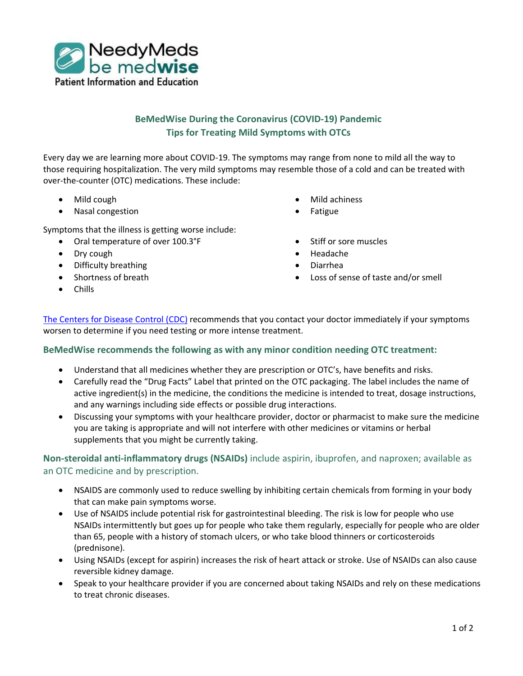

# **BeMedWise During the Coronavirus (COVID-19) Pandemic Tips for Treating Mild Symptoms with OTCs**

Every day we are learning more about COVID-19. The symptoms may range from none to mild all the way to those requiring hospitalization. The very mild symptoms may resemble those of a cold and can be treated with over-the-counter (OTC) medications. These include:

- Mild cough
- Nasal congestion

Symptoms that the illness is getting worse include:

- Oral temperature of over 100.3°F
- Dry cough
- Difficulty breathing
- Shortness of breath
- Mild achiness
- Fatigue
- Stiff or sore muscles
- Headache
- Diarrhea
- Loss of sense of taste and/or smell

• Chills

[The Centers for Disease Control \(CDC\)](https://www.cdc.gov/coronavirus/2019-ncov/index.html) recommends that you contact your doctor immediately if your symptoms worsen to determine if you need testing or more intense treatment.

#### **BeMedWise recommends the following as with any minor condition needing OTC treatment:**

- Understand that all medicines whether they are prescription or OTC's, have benefits and risks.
- Carefully read the "Drug Facts" Label that printed on the OTC packaging. The label includes the name of active ingredient(s) in the medicine, the conditions the medicine is intended to treat, dosage instructions, and any warnings including side effects or possible drug interactions.
- Discussing your symptoms with your healthcare provider, doctor or pharmacist to make sure the medicine you are taking is appropriate and will not interfere with other medicines or vitamins or herbal supplements that you might be currently taking.

# **Non-steroidal anti-inflammatory drugs (NSAIDs)** include aspirin, ibuprofen, and naproxen; available as an OTC medicine and by prescription.

- NSAIDS are commonly used to reduce swelling by inhibiting certain chemicals from forming in your body that can make pain symptoms worse.
- Use of NSAIDS include potential risk for gastrointestinal bleeding. The risk is low for people who use NSAIDs intermittently but goes up for people who take them regularly, especially for people who are older than 65, people with a history of stomach ulcers, or who take blood thinners or corticosteroids (prednisone).
- Using NSAIDs (except for aspirin) increases the risk of heart attack or stroke. Use of NSAIDs can also cause reversible kidney damage.
- Speak to your healthcare provider if you are concerned about taking NSAIDs and rely on these medications to treat chronic diseases.